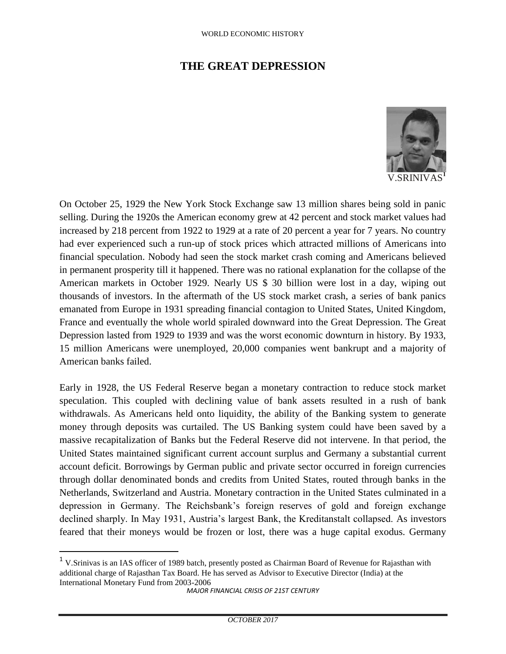## **THE GREAT DEPRESSION**



V.SRINIVAS**<sup>1</sup>**

On October 25, 1929 the New York Stock Exchange saw 13 million shares being sold in panic selling. During the 1920s the American economy grew at 42 percent and stock market values had increased by 218 percent from 1922 to 1929 at a rate of 20 percent a year for 7 years. No country had ever experienced such a run-up of stock prices which attracted millions of Americans into financial speculation. Nobody had seen the stock market crash coming and Americans believed in permanent prosperity till it happened. There was no rational explanation for the collapse of the American markets in October 1929. Nearly US \$ 30 billion were lost in a day, wiping out thousands of investors. In the aftermath of the US stock market crash, a series of bank panics emanated from Europe in 1931 spreading financial contagion to United States, United Kingdom, France and eventually the whole world spiraled downward into the Great Depression. The Great Depression lasted from 1929 to 1939 and was the worst economic downturn in history. By 1933, 15 million Americans were unemployed, 20,000 companies went bankrupt and a majority of American banks failed.

Early in 1928, the US Federal Reserve began a monetary contraction to reduce stock market speculation. This coupled with declining value of bank assets resulted in a rush of bank withdrawals. As Americans held onto liquidity, the ability of the Banking system to generate money through deposits was curtailed. The US Banking system could have been saved by a massive recapitalization of Banks but the Federal Reserve did not intervene. In that period, the United States maintained significant current account surplus and Germany a substantial current account deficit. Borrowings by German public and private sector occurred in foreign currencies through dollar denominated bonds and credits from United States, routed through banks in the Netherlands, Switzerland and Austria. Monetary contraction in the United States culminated in a depression in Germany. The Reichsbank's foreign reserves of gold and foreign exchange declined sharply. In May 1931, Austria's largest Bank, the Kreditanstalt collapsed. As investors feared that their moneys would be frozen or lost, there was a huge capital exodus. Germany

 $\overline{a}$ 

<sup>&</sup>lt;sup>1</sup> V.Srinivas is an IAS officer of 1989 batch, presently posted as Chairman Board of Revenue for Rajasthan with additional charge of Rajasthan Tax Board. He has served as Advisor to Executive Director (India) at the International Monetary Fund from 2003-2006

*MAJOR FINANCIAL CRISIS OF 21ST CENTURY*